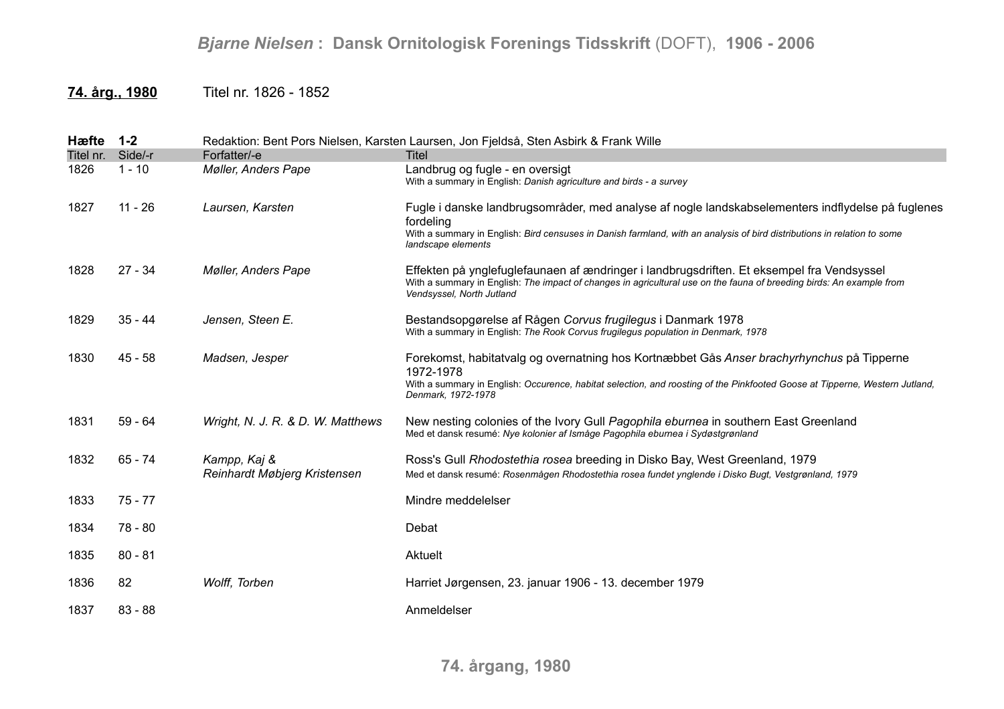## *Bjarne Nielsen* **: Dansk Ornitologisk Forenings Tidsskrift** (DOFT), **1906 - 2006**

## **74. årg., 1980** Titel nr. 1826 - 1852

| Hæfte     | $1 - 2$   |                                              | Redaktion: Bent Pors Nielsen, Karsten Laursen, Jon Fjeldså, Sten Asbirk & Frank Wille                                                                                                                                                                           |
|-----------|-----------|----------------------------------------------|-----------------------------------------------------------------------------------------------------------------------------------------------------------------------------------------------------------------------------------------------------------------|
| Titel nr. | Side/-r   | Forfatter/-e                                 | Titel                                                                                                                                                                                                                                                           |
| 1826      | $1 - 10$  | Møller, Anders Pape                          | Landbrug og fugle - en oversigt<br>With a summary in English: Danish agriculture and birds - a survey                                                                                                                                                           |
| 1827      | $11 - 26$ | Laursen, Karsten                             | Fugle i danske landbrugsområder, med analyse af nogle landskabselementers indflydelse på fuglenes<br>fordeling<br>With a summary in English: Bird censuses in Danish farmland, with an analysis of bird distributions in relation to some<br>landscape elements |
| 1828      | $27 - 34$ | <b>Møller, Anders Pape</b>                   | Effekten på ynglefuglefaunaen af ændringer i landbrugsdriften. Et eksempel fra Vendsyssel<br>With a summary in English: The impact of changes in agricultural use on the fauna of breeding birds: An example from<br>Vendsyssel, North Jutland                  |
| 1829      | $35 - 44$ | Jensen, Steen E.                             | Bestandsopgørelse af Rågen Corvus frugilegus i Danmark 1978<br>With a summary in English: The Rook Corvus frugilegus population in Denmark, 1978                                                                                                                |
| 1830      | 45 - 58   | Madsen, Jesper                               | Forekomst, habitatvalg og overnatning hos Kortnæbbet Gås Anser brachyrhynchus på Tipperne<br>1972-1978<br>With a summary in English: Occurence, habitat selection, and roosting of the Pinkfooted Goose at Tipperne, Western Jutland,<br>Denmark, 1972-1978     |
| 1831      | $59 - 64$ | Wright, N. J. R. & D. W. Matthews            | New nesting colonies of the Ivory Gull Pagophila eburnea in southern East Greenland<br>Med et dansk resumé: Nye kolonier af Ismåge Pagophila eburnea i Sydøstgrønland                                                                                           |
| 1832      | $65 - 74$ | Kampp, Kaj &<br>Reinhardt Møbjerg Kristensen | Ross's Gull Rhodostethia rosea breeding in Disko Bay, West Greenland, 1979<br>Med et dansk resumé: Rosenmågen Rhodostethia rosea fundet ynglende i Disko Bugt, Vestgrønland, 1979                                                                               |
| 1833      | $75 - 77$ |                                              | Mindre meddelelser                                                                                                                                                                                                                                              |
| 1834      | 78 - 80   |                                              | Debat                                                                                                                                                                                                                                                           |
| 1835      | $80 - 81$ |                                              | Aktuelt                                                                                                                                                                                                                                                         |
| 1836      | 82        | Wolff, Torben                                | Harriet Jørgensen, 23. januar 1906 - 13. december 1979                                                                                                                                                                                                          |
| 1837      | $83 - 88$ |                                              | Anmeldelser                                                                                                                                                                                                                                                     |